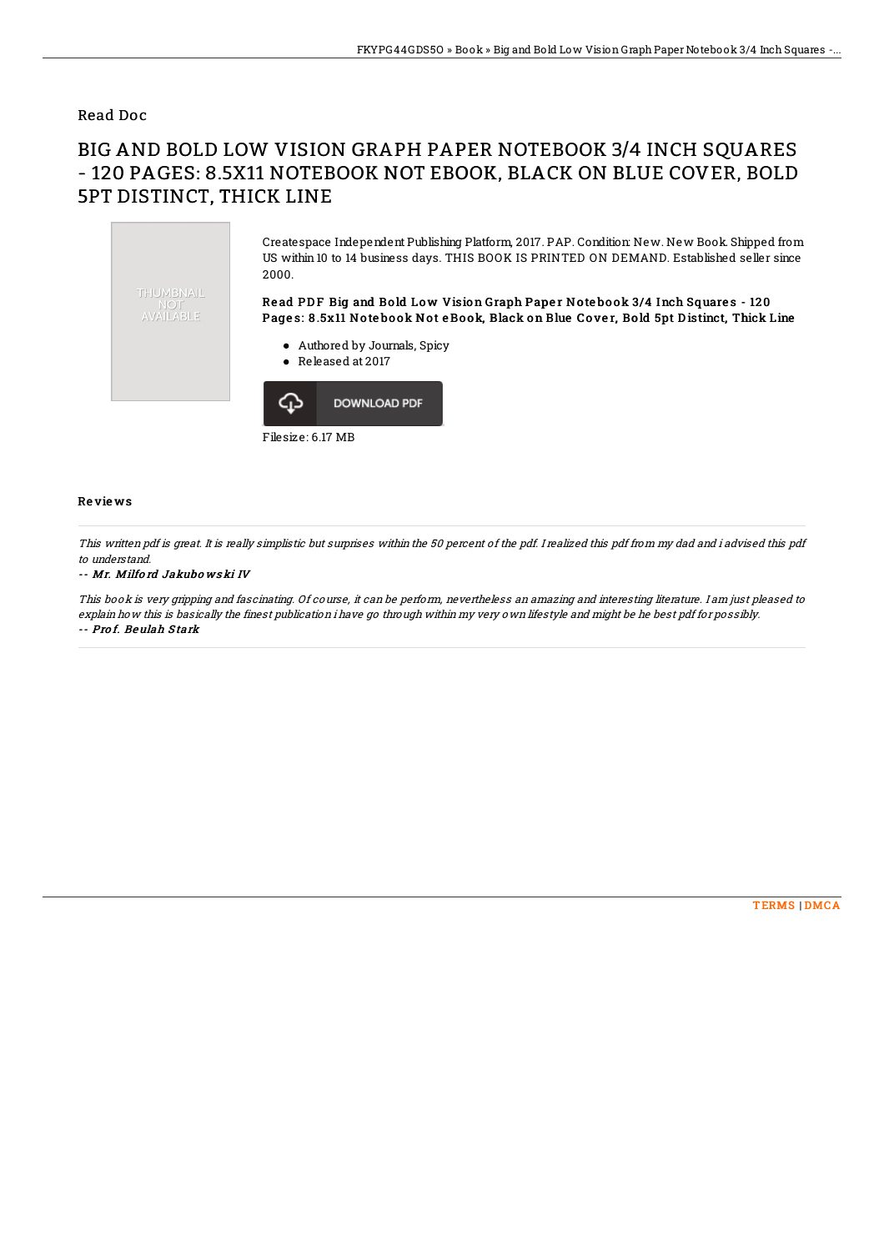### Read Doc

# BIG AND BOLD LOW VISION GRAPH PAPER NOTEBOOK 3/4 INCH SQUARES - 120 PAGES: 8.5X11 NOTEBOOK NOT EBOOK, BLACK ON BLUE COVER, BOLD 5PT DISTINCT, THICK LINE



Filesize: 6.17 MB

#### Re vie ws

This written pdf is great. It is really simplistic but surprises within the 50 percent of the pdf. I realized this pdf from my dad and i advised this pdf to understand.

#### -- Mr. Milfo rd Jakubo ws ki IV

This book is very gripping and fascinating. Of course, it can be perform, nevertheless an amazing and interesting literature. I am just pleased to explain how this is basically the finest publication i have go through within my very own lifestyle and might be he best pdf for possibly. -- Pro f. Beulah S tark